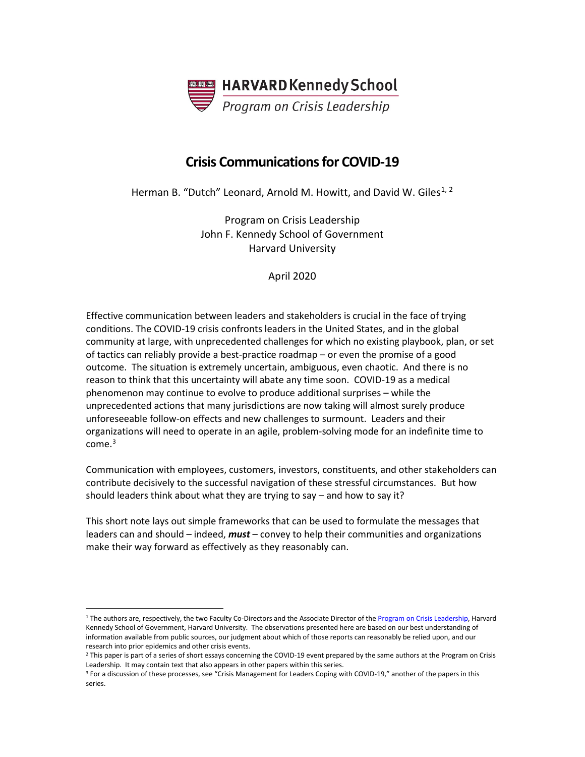

# **Crisis Communications for COVID-19**

Herman B. "Dutch" Leonard, Arnold M. Howitt, and David W. Giles<sup>[1,](#page-0-0) [2](#page-0-1)</sup>

Program on Crisis Leadership John F. Kennedy School of Government Harvard University

April 2020

Effective communication between leaders and stakeholders is crucial in the face of trying conditions. The COVID-19 crisis confronts leaders in the United States, and in the global community at large, with unprecedented challenges for which no existing playbook, plan, or set of tactics can reliably provide a best-practice roadmap – or even the promise of a good outcome. The situation is extremely uncertain, ambiguous, even chaotic. And there is no reason to think that this uncertainty will abate any time soon. COVID-19 as a medical phenomenon may continue to evolve to produce additional surprises – while the unprecedented actions that many jurisdictions are now taking will almost surely produce unforeseeable follow-on effects and new challenges to surmount. Leaders and their organizations will need to operate in an agile, problem-solving mode for an indefinite time to  $come<sup>3</sup>$  $come<sup>3</sup>$  $come<sup>3</sup>$ 

Communication with employees, customers, investors, constituents, and other stakeholders can contribute decisively to the successful navigation of these stressful circumstances. But how should leaders think about what they are trying to say – and how to say it?

This short note lays out simple frameworks that can be used to formulate the messages that leaders can and should – indeed, *must* – convey to help their communities and organizations make their way forward as effectively as they reasonably can.

<span id="page-0-0"></span><sup>&</sup>lt;sup>1</sup> The authors are, respectively, the two Faculty Co-Directors and the Associate Director of the [Program on Crisis Leadership,](https://www.hks.harvard.edu/centers/research-initiatives/crisisleadership) Harvard Kennedy School of Government, Harvard University. The observations presented here are based on our best understanding of information available from public sources, our judgment about which of those reports can reasonably be relied upon, and our research into prior epidemics and other crisis events.

<span id="page-0-1"></span><sup>&</sup>lt;sup>2</sup> This paper is part of a series of short essays concerning the COVID-19 event prepared by the same authors at the Program on Crisis Leadership. It may contain text that also appears in other papers within this series.

<span id="page-0-2"></span><sup>&</sup>lt;sup>3</sup> For a discussion of these processes, see "Crisis Management for Leaders Coping with COVID-19," another of the papers in this series.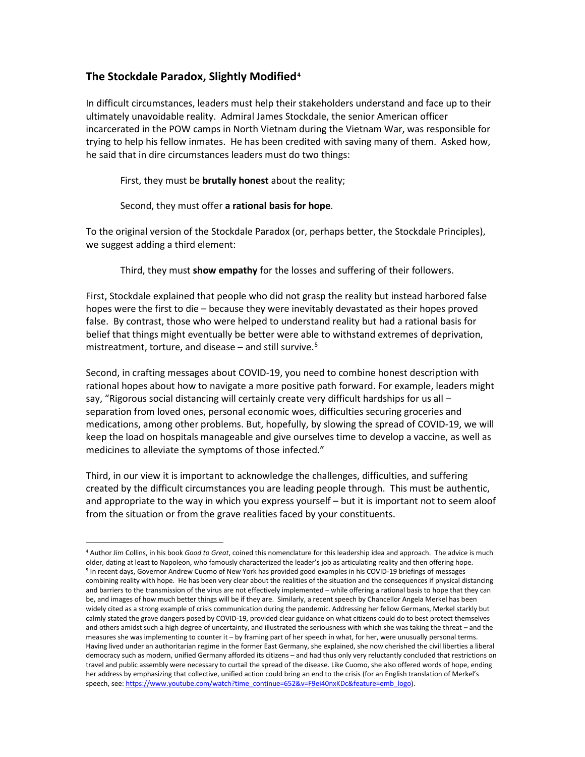## **The Stockdale Paradox, Slightly Modified[4](#page-1-0)**

In difficult circumstances, leaders must help their stakeholders understand and face up to their ultimately unavoidable reality. Admiral James Stockdale, the senior American officer incarcerated in the POW camps in North Vietnam during the Vietnam War, was responsible for trying to help his fellow inmates. He has been credited with saving many of them. Asked how, he said that in dire circumstances leaders must do two things:

#### First, they must be **brutally honest** about the reality;

#### Second, they must offer **a rational basis for hope**.

To the original version of the Stockdale Paradox (or, perhaps better, the Stockdale Principles), we suggest adding a third element:

Third, they must **show empathy** for the losses and suffering of their followers.

First, Stockdale explained that people who did not grasp the reality but instead harbored false hopes were the first to die – because they were inevitably devastated as their hopes proved false. By contrast, those who were helped to understand reality but had a rational basis for belief that things might eventually be better were able to withstand extremes of deprivation, mistreatment, torture, and disease  $-$  and still survive.<sup>[5](#page-1-1)</sup>

Second, in crafting messages about COVID-19, you need to combine honest description with rational hopes about how to navigate a more positive path forward. For example, leaders might say, "Rigorous social distancing will certainly create very difficult hardships for us all separation from loved ones, personal economic woes, difficulties securing groceries and medications, among other problems. But, hopefully, by slowing the spread of COVID-19, we will keep the load on hospitals manageable and give ourselves time to develop a vaccine, as well as medicines to alleviate the symptoms of those infected."

Third, in our view it is important to acknowledge the challenges, difficulties, and suffering created by the difficult circumstances you are leading people through. This must be authentic, and appropriate to the way in which you express yourself – but it is important not to seem aloof from the situation or from the grave realities faced by your constituents.

<span id="page-1-1"></span><span id="page-1-0"></span><sup>4</sup> Author Jim Collins, in his book *Good to Great*, coined this nomenclature for this leadership idea and approach. The advice is much older, dating at least to Napoleon, who famously characterized the leader's job as articulating reality and then offering hope. <sup>5</sup> In recent days, Governor Andrew Cuomo of New York has provided good examples in his COVID-19 briefings of messages combining reality with hope. He has been very clear about the realities of the situation and the consequences if physical distancing and barriers to the transmission of the virus are not effectively implemented – while offering a rational basis to hope that they can be, and images of how much better things will be if they are. Similarly, a recent speech by Chancellor Angela Merkel has been widely cited as a strong example of crisis communication during the pandemic. Addressing her fellow Germans, Merkel starkly but calmly stated the grave dangers posed by COVID-19, provided clear guidance on what citizens could do to best protect themselves and others amidst such a high degree of uncertainty, and illustrated the seriousness with which she was taking the threat – and the measures she was implementing to counter it – by framing part of her speech in what, for her, were unusually personal terms. Having lived under an authoritarian regime in the former East Germany, she explained, she now cherished the civil liberties a liberal democracy such as modern, unified Germany afforded its citizens – and had thus only very reluctantly concluded that restrictions on travel and public assembly were necessary to curtail the spread of the disease. Like Cuomo, she also offered words of hope, ending her address by emphasizing that collective, unified action could bring an end to the crisis (for an English translation of Merkel's speech, see[: https://www.youtube.com/watch?time\\_continue=652&v=F9ei40nxKDc&feature=emb\\_logo\).](https://www.youtube.com/watch?time_continue=652&v=F9ei40nxKDc&feature=emb_logo)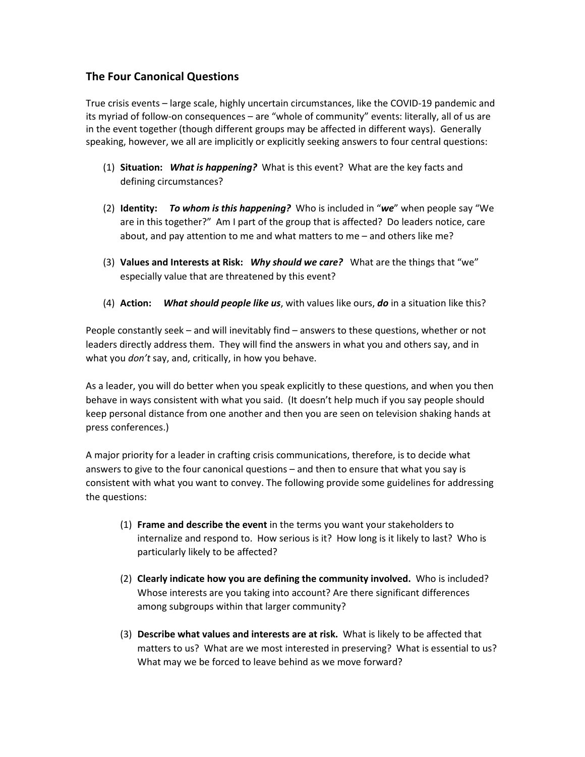## **The Four Canonical Questions**

True crisis events – large scale, highly uncertain circumstances, like the COVID-19 pandemic and its myriad of follow-on consequences – are "whole of community" events: literally, all of us are in the event together (though different groups may be affected in different ways). Generally speaking, however, we all are implicitly or explicitly seeking answers to four central questions:

- (1) **Situation:** *What is happening?* What is this event? What are the key facts and defining circumstances?
- (2) **Identity:** *To whom is this happening?* Who is included in "*we*" when people say "We are in this together?" Am I part of the group that is affected? Do leaders notice, care about, and pay attention to me and what matters to me – and others like me?
- (3) **Values and Interests at Risk:** *Why should we care?* What are the things that "we" especially value that are threatened by this event?
- (4) **Action:** *What should people like us*, with values like ours, *do* in a situation like this?

People constantly seek – and will inevitably find – answers to these questions, whether or not leaders directly address them. They will find the answers in what you and others say, and in what you *don't* say, and, critically, in how you behave.

As a leader, you will do better when you speak explicitly to these questions, and when you then behave in ways consistent with what you said. (It doesn't help much if you say people should keep personal distance from one another and then you are seen on television shaking hands at press conferences.)

A major priority for a leader in crafting crisis communications, therefore, is to decide what answers to give to the four canonical questions – and then to ensure that what you say is consistent with what you want to convey. The following provide some guidelines for addressing the questions:

- (1) **Frame and describe the event** in the terms you want your stakeholders to internalize and respond to. How serious is it? How long is it likely to last? Who is particularly likely to be affected?
- (2) **Clearly indicate how you are defining the community involved.** Who is included? Whose interests are you taking into account? Are there significant differences among subgroups within that larger community?
- (3) **Describe what values and interests are at risk.** What is likely to be affected that matters to us? What are we most interested in preserving? What is essential to us? What may we be forced to leave behind as we move forward?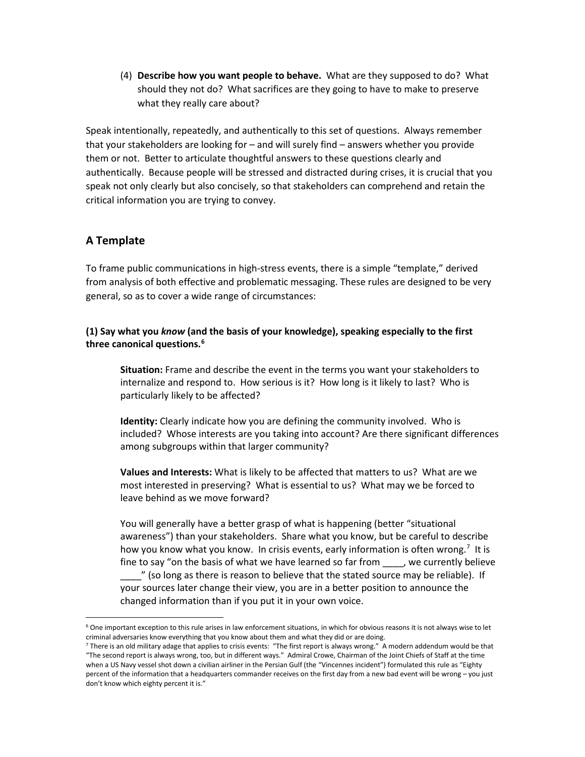(4) **Describe how you want people to behave.** What are they supposed to do? What should they not do? What sacrifices are they going to have to make to preserve what they really care about?

Speak intentionally, repeatedly, and authentically to this set of questions. Always remember that your stakeholders are looking for – and will surely find – answers whether you provide them or not. Better to articulate thoughtful answers to these questions clearly and authentically. Because people will be stressed and distracted during crises, it is crucial that you speak not only clearly but also concisely, so that stakeholders can comprehend and retain the critical information you are trying to convey.

# **A Template**

To frame public communications in high-stress events, there is a simple "template," derived from analysis of both effective and problematic messaging. These rules are designed to be very general, so as to cover a wide range of circumstances:

### **(1) Say what you** *know* **(and the basis of your knowledge), speaking especially to the first three canonical questions. [6](#page-3-0)**

**Situation:** Frame and describe the event in the terms you want your stakeholders to internalize and respond to. How serious is it? How long is it likely to last? Who is particularly likely to be affected?

**Identity:** Clearly indicate how you are defining the community involved. Who is included? Whose interests are you taking into account? Are there significant differences among subgroups within that larger community?

**Values and Interests:** What is likely to be affected that matters to us? What are we most interested in preserving? What is essential to us? What may we be forced to leave behind as we move forward?

You will generally have a better grasp of what is happening (better "situational awareness") than your stakeholders. Share what you know, but be careful to describe how you know what you know. In crisis events, early information is often wrong.<sup>[7](#page-3-1)</sup> It is fine to say "on the basis of what we have learned so far from \_\_\_\_, we currently believe

\_\_\_\_" (so long as there is reason to believe that the stated source may be reliable). If your sources later change their view, you are in a better position to announce the changed information than if you put it in your own voice.

<span id="page-3-0"></span> $6$  One important exception to this rule arises in law enforcement situations, in which for obvious reasons it is not always wise to let criminal adversaries know everything that you know about them and what they did or are doing.

<span id="page-3-1"></span> $7$  There is an old military adage that applies to crisis events: "The first report is always wrong." A modern addendum would be that "The second report is always wrong, too, but in different ways." Admiral Crowe, Chairman of the Joint Chiefs of Staff at the time when a US Navy vessel shot down a civilian airliner in the Persian Gulf (the "Vincennes incident") formulated this rule as "Eighty percent of the information that a headquarters commander receives on the first day from a new bad event will be wrong – you just don't know which eighty percent it is."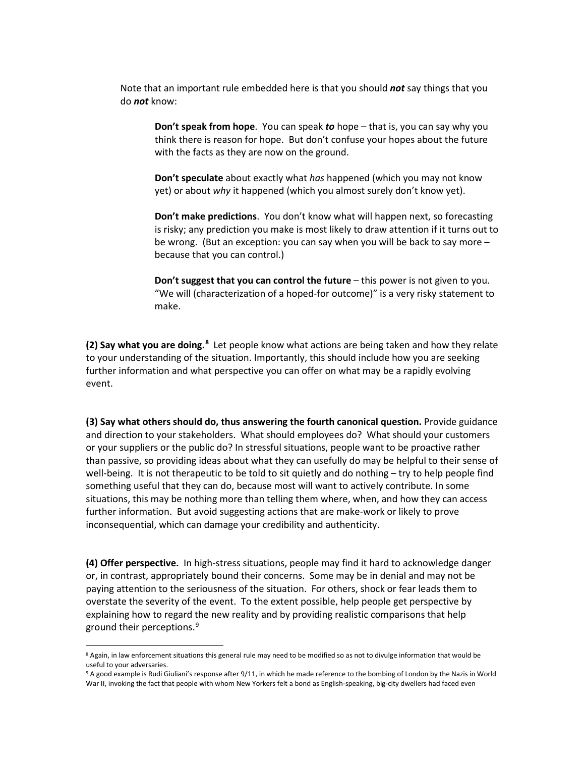Note that an important rule embedded here is that you should *not* say things that you do *not* know:

**Don't speak from hope**. You can speak *to* hope – that is, you can say why you think there is reason for hope. But don't confuse your hopes about the future with the facts as they are now on the ground.

**Don't speculate** about exactly what *has* happened (which you may not know yet) or about *why* it happened (which you almost surely don't know yet).

**Don't make predictions**. You don't know what will happen next, so forecasting is risky; any prediction you make is most likely to draw attention if it turns out to be wrong. (But an exception: you can say when you will be back to say more – because that you can control.)

**Don't suggest that you can control the future** – this power is not given to you. "We will (characterization of a hoped-for outcome)" is a very risky statement to make.

**(2) Say what you are doing.[8](#page-4-0)** Let people know what actions are being taken and how they relate to your understanding of the situation. Importantly, this should include how you are seeking further information and what perspective you can offer on what may be a rapidly evolving event.

**(3) Say what others should do, thus answering the fourth canonical question.** Provide guidance and direction to your stakeholders. What should employees do? What should your customers or your suppliers or the public do? In stressful situations, people want to be proactive rather than passive, so providing ideas about what they can usefully do may be helpful to their sense of well-being. It is not therapeutic to be told to sit quietly and do nothing – try to help people find something useful that they can do, because most will want to actively contribute. In some situations, this may be nothing more than telling them where, when, and how they can access further information. But avoid suggesting actions that are make-work or likely to prove inconsequential, which can damage your credibility and authenticity.

**(4) Offer perspective.** In high-stress situations, people may find it hard to acknowledge danger or, in contrast, appropriately bound their concerns. Some may be in denial and may not be paying attention to the seriousness of the situation. For others, shock or fear leads them to overstate the severity of the event. To the extent possible, help people get perspective by explaining how to regard the new reality and by providing realistic comparisons that help ground their perceptions.[9](#page-4-1)

<span id="page-4-0"></span><sup>&</sup>lt;sup>8</sup> Again, in law enforcement situations this general rule may need to be modified so as not to divulge information that would be useful to your adversaries.

<span id="page-4-1"></span><sup>&</sup>lt;sup>9</sup> A good example is Rudi Giuliani's response after 9/11, in which he made reference to the bombing of London by the Nazis in World War II, invoking the fact that people with whom New Yorkers felt a bond as English-speaking, big-city dwellers had faced even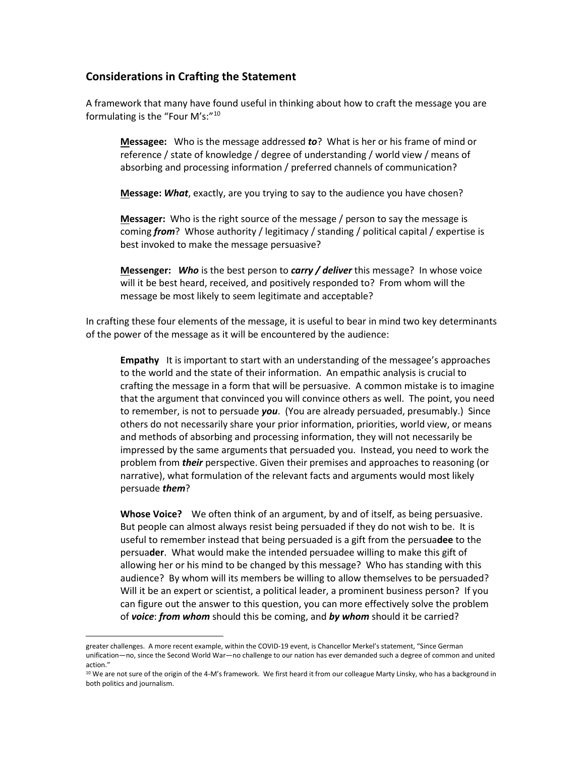### **Considerations in Crafting the Statement**

A framework that many have found useful in thinking about how to craft the message you are formulating is the "Four M's:"[10](#page-5-0)

**Messagee:** Who is the message addressed *to*? What is her or his frame of mind or reference / state of knowledge / degree of understanding / world view / means of absorbing and processing information / preferred channels of communication?

**Message:** *What*, exactly, are you trying to say to the audience you have chosen?

**Messager:** Who is the right source of the message / person to say the message is coming *from*? Whose authority / legitimacy / standing / political capital / expertise is best invoked to make the message persuasive?

**Messenger:** *Who* is the best person to *carry / deliver* this message? In whose voice will it be best heard, received, and positively responded to? From whom will the message be most likely to seem legitimate and acceptable?

In crafting these four elements of the message, it is useful to bear in mind two key determinants of the power of the message as it will be encountered by the audience:

**Empathy** It is important to start with an understanding of the messagee's approaches to the world and the state of their information. An empathic analysis is crucial to crafting the message in a form that will be persuasive. A common mistake is to imagine that the argument that convinced you will convince others as well. The point, you need to remember, is not to persuade *you*. (You are already persuaded, presumably.) Since others do not necessarily share your prior information, priorities, world view, or means and methods of absorbing and processing information, they will not necessarily be impressed by the same arguments that persuaded you. Instead, you need to work the problem from *their* perspective. Given their premises and approaches to reasoning (or narrative), what formulation of the relevant facts and arguments would most likely persuade *them*?

**Whose Voice?** We often think of an argument, by and of itself, as being persuasive. But people can almost always resist being persuaded if they do not wish to be. It is useful to remember instead that being persuaded is a gift from the persua**dee** to the persua**der**. What would make the intended persuadee willing to make this gift of allowing her or his mind to be changed by this message? Who has standing with this audience? By whom will its members be willing to allow themselves to be persuaded? Will it be an expert or scientist, a political leader, a prominent business person? If you can figure out the answer to this question, you can more effectively solve the problem of *voice*: *from whom* should this be coming, and *by whom* should it be carried?

greater challenges. A more recent example, within the COVID-19 event, is Chancellor Merkel's statement, "Since German unification—no, since the Second World War—no challenge to our nation has ever demanded such a degree of common and united action."

<span id="page-5-0"></span><sup>&</sup>lt;sup>10</sup> We are not sure of the origin of the 4-M's framework. We first heard it from our colleague Marty Linsky, who has a background in both politics and journalism.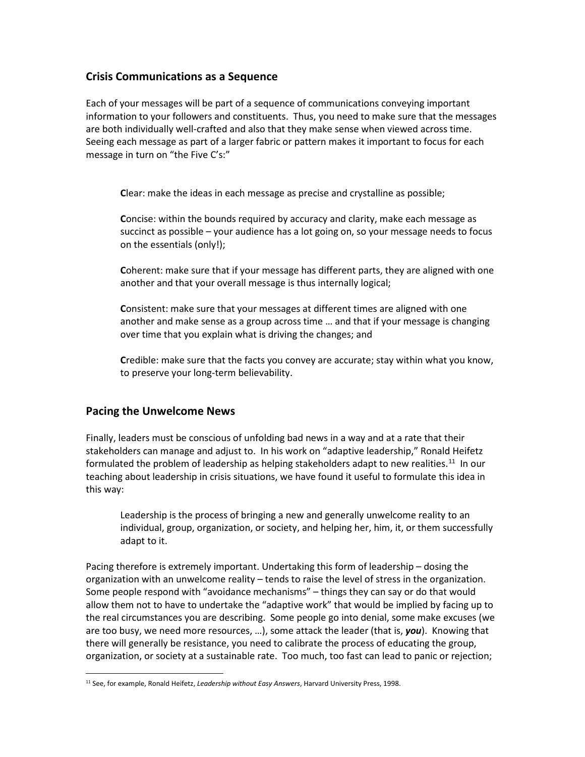## **Crisis Communications as a Sequence**

Each of your messages will be part of a sequence of communications conveying important information to your followers and constituents. Thus, you need to make sure that the messages are both individually well-crafted and also that they make sense when viewed across time. Seeing each message as part of a larger fabric or pattern makes it important to focus for each message in turn on "the Five C's:"

**C**lear: make the ideas in each message as precise and crystalline as possible;

**C**oncise: within the bounds required by accuracy and clarity, make each message as succinct as possible – your audience has a lot going on, so your message needs to focus on the essentials (only!);

**C**oherent: make sure that if your message has different parts, they are aligned with one another and that your overall message is thus internally logical;

**C**onsistent: make sure that your messages at different times are aligned with one another and make sense as a group across time … and that if your message is changing over time that you explain what is driving the changes; and

**C**redible: make sure that the facts you convey are accurate; stay within what you know, to preserve your long-term believability.

### **Pacing the Unwelcome News**

Finally, leaders must be conscious of unfolding bad news in a way and at a rate that their stakeholders can manage and adjust to. In his work on "adaptive leadership," Ronald Heifetz formulated the problem of leadership as helping stakeholders adapt to new realities.<sup>11</sup> In our teaching about leadership in crisis situations, we have found it useful to formulate this idea in this way:

Leadership is the process of bringing a new and generally unwelcome reality to an individual, group, organization, or society, and helping her, him, it, or them successfully adapt to it.

Pacing therefore is extremely important. Undertaking this form of leadership – dosing the organization with an unwelcome reality – tends to raise the level of stress in the organization. Some people respond with "avoidance mechanisms" – things they can say or do that would allow them not to have to undertake the "adaptive work" that would be implied by facing up to the real circumstances you are describing. Some people go into denial, some make excuses (we are too busy, we need more resources, …), some attack the leader (that is, *you*). Knowing that there will generally be resistance, you need to calibrate the process of educating the group, organization, or society at a sustainable rate. Too much, too fast can lead to panic or rejection;

<span id="page-6-0"></span><sup>11</sup> See, for example, Ronald Heifetz, *Leadership without Easy Answers*, Harvard University Press, 1998.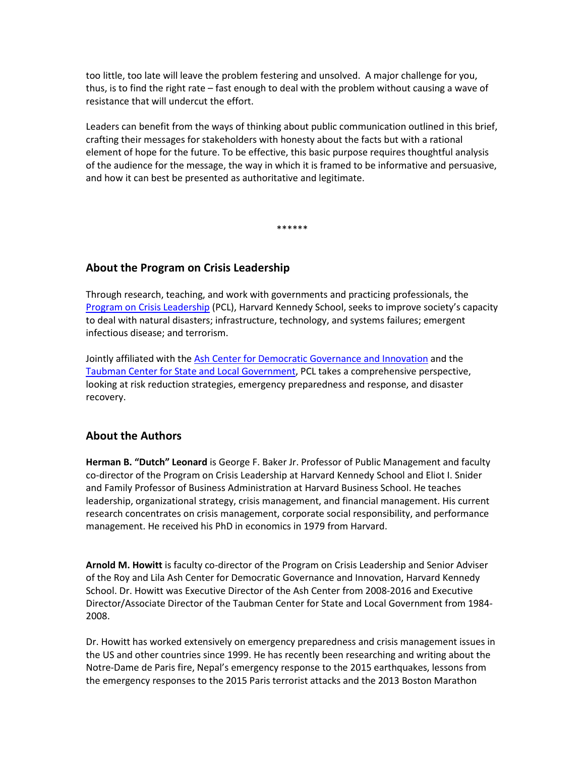too little, too late will leave the problem festering and unsolved. A major challenge for you, thus, is to find the right rate – fast enough to deal with the problem without causing a wave of resistance that will undercut the effort.

Leaders can benefit from the ways of thinking about public communication outlined in this brief, crafting their messages for stakeholders with honesty about the facts but with a rational element of hope for the future. To be effective, this basic purpose requires thoughtful analysis of the audience for the message, the way in which it is framed to be informative and persuasive, and how it can best be presented as authoritative and legitimate.

\*\*\*\*\*\*

### **About the Program on Crisis Leadership**

Through research, teaching, and work with governments and practicing professionals, the [Program on Crisis Leadership](https://www.hks.harvard.edu/centers/research-initiatives/crisisleadership) (PCL), Harvard Kennedy School, seeks to improve society's capacity to deal with natural disasters; infrastructure, technology, and systems failures; emergent infectious disease; and terrorism.

Jointly affiliated with the [Ash Center for Democratic Governance and Innovation](https://ash.harvard.edu/) and the [Taubman Center for State and Local Government,](https://www.hks.harvard.edu/centers/taubman) PCL takes a comprehensive perspective, looking at risk reduction strategies, emergency preparedness and response, and disaster recovery.

### **About the Authors**

**Herman B. "Dutch" Leonard** is George F. Baker Jr. Professor of Public Management and faculty co-director of the Program on Crisis Leadership at Harvard Kennedy School and Eliot I. Snider and Family Professor of Business Administration at Harvard Business School. He teaches leadership, organizational strategy, crisis management, and financial management. His current research concentrates on crisis management, corporate social responsibility, and performance management. He received his PhD in economics in 1979 from Harvard.

**Arnold M. Howitt** is faculty co-director of the Program on Crisis Leadership and Senior Adviser of the Roy and Lila Ash Center for Democratic Governance and Innovation, Harvard Kennedy School. Dr. Howitt was Executive Director of the Ash Center from 2008-2016 and Executive Director/Associate Director of the Taubman Center for State and Local Government from 1984- 2008.

Dr. Howitt has worked extensively on emergency preparedness and crisis management issues in the US and other countries since 1999. He has recently been researching and writing about the Notre-Dame de Paris fire, Nepal's emergency response to the 2015 earthquakes, lessons from the emergency responses to the 2015 Paris terrorist attacks and the 2013 Boston Marathon